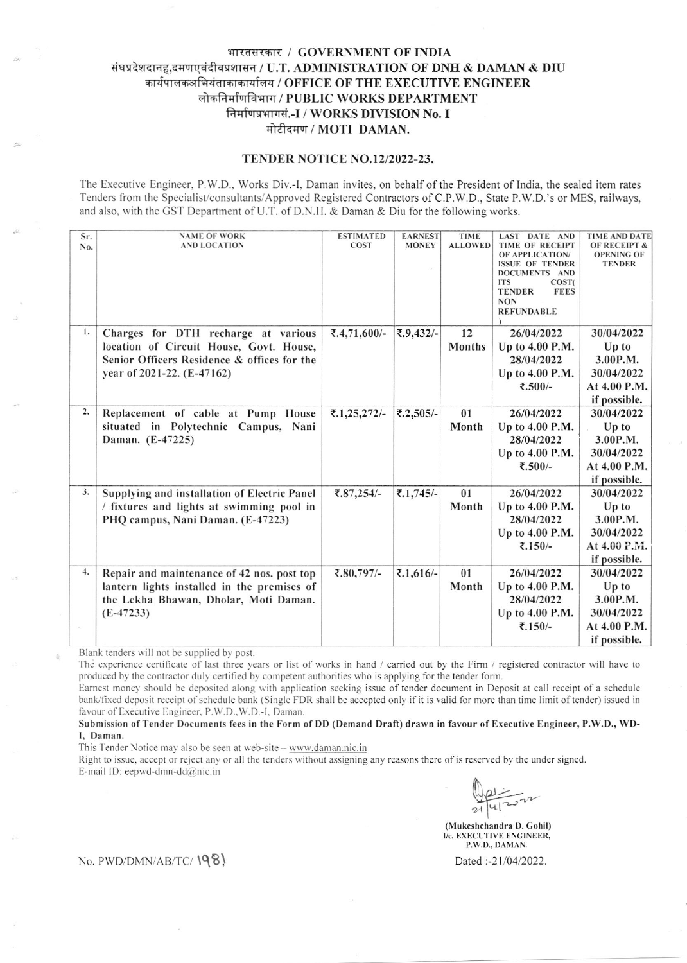## भारतसरकार / GOVERNMENT OF INDIA संघप्रदेशदानह,दमणएवंदीवप्रशासन / U.T. ADMINISTRATION OF DNH & DAMAN & DIU कार्यपालकअभियंताकाकार्यालय / OFFICE OF THE EXECUTIVE ENGINEER लोकनिर्माणविभाग / PUBLIC WORKS DEPARTMENT निर्माणप्रभागसं.-I / WORKS DIVISION No. I मोटीदमण / MOTI DAMAN.

## TENDER NOTICE NO.12/2022-23.

The Executive Engineer, P.W.D., Works Div.-I, Daman invites, on behalf of the President of India, the sealed item rates Tenders from the Specialist/consultants/Approved Registered Contractors of C.P.W.D., State P.W.D.'s or MES, railways, and also, with the GST Department of U.T. of D.N.H. & Daman & Diu for the following works.

| Sr.<br>No. | <b>NAME OF WORK</b><br><b>AND LOCATION</b>                                                                                                                  | <b>ESTIMATED</b><br><b>COST</b> | <b>EARNEST</b><br><b>MONEY</b> | <b>TIME</b><br><b>ALLOWED</b> | <b>LAST DATE AND</b><br><b>TIME OF RECEIPT</b><br>OF APPLICATION/<br><b>ISSUE OF TENDER</b><br>DOCUMENTS AND<br><b>ITS</b><br>COST <sub>(</sub><br><b>FEES</b><br><b>TENDER</b><br><b>NON</b><br><b>REFUNDABLE</b> | <b>TIME AND DATE</b><br><b>OF RECEIPT &amp;</b><br><b>OPENING OF</b><br><b>TENDER</b> |
|------------|-------------------------------------------------------------------------------------------------------------------------------------------------------------|---------------------------------|--------------------------------|-------------------------------|--------------------------------------------------------------------------------------------------------------------------------------------------------------------------------------------------------------------|---------------------------------------------------------------------------------------|
| 1.         | Charges for DTH recharge at various<br>location of Circuit House, Govt. House,<br>Senior Officers Residence & offices for the<br>year of 2021-22. (E-47162) | ₹.4,71,600/-                    | ₹.9,432/-                      | 12<br><b>Months</b>           | 26/04/2022<br>Up to 4.00 P.M.<br>28/04/2022<br>Up to 4.00 P.M.<br>₹.500/-                                                                                                                                          | 30/04/2022<br>$Up$ to<br>3.00P.M.<br>30/04/2022<br>At 4.00 P.M.<br>if possible.       |
| 2.         | Replacement of cable at Pump House<br>situated in Polytechnic Campus, Nani<br>Daman. (E-47225)                                                              | ₹.1,25,272/-                    | ₹.2,505/-                      | 01<br>Month                   | 26/04/2022<br>Up to 4.00 P.M.<br>28/04/2022<br>Up to 4.00 P.M.<br>₹.500/-                                                                                                                                          | 30/04/2022<br>$Up$ to<br>3.00P.M.<br>30/04/2022<br>At 4.00 P.M.<br>if possible.       |
| 3.         | Supplying and installation of Electric Panel<br>/ fixtures and lights at swimming pool in<br>PHQ campus, Nani Daman. (E-47223)                              | ₹.87,254/-                      | ₹.1,745/-                      | 01<br>Month                   | 26/04/2022<br>Up to 4.00 P.M.<br>28/04/2022<br>Up to 4.00 P.M.<br>₹.150/-                                                                                                                                          | 30/04/2022<br>Up to<br>3.00P.M.<br>30/04/2022<br>At 4.00 P.M.<br>if possible.         |
| 4.         | Repair and maintenance of 42 nos. post top<br>lantern lights installed in the premises of<br>the Lekha Bhawan, Dholar, Moti Daman.<br>$(E-47233)$           | ₹.80,797/-                      | ₹.1,616/-                      | 01<br>Month                   | 26/04/2022<br>Up to 4.00 P.M.<br>28/04/2022<br>Up to 4.00 P.M.<br>₹.150/-                                                                                                                                          | 30/04/2022<br>$Up$ to<br>3.00P.M.<br>30/04/2022<br>At 4.00 P.M.<br>if possible.       |

Blank tenders will not be supplied by post.

The experience certificate of last three years or list of works in hand / carried out by the Firm / registered contractor will have to produced by the contractor duly certified by competent authorities who is applying for the tender form.

Earnest money should be deposited along with application seeking issue of tender document in Deposit at call receipt of a schedule bank/fixed deposit receipt of schedule bank (Single FDR shall be accepted only if it is valid for more than time limit of tender) issued in favour of Executive Engineer, P.W.D., W.D.-I, Daman.

Submission of Tender Documents fees in the Form of DD (Demand Draft) drawn in favour of Executive Engineer, P.W.D., WD-I, Daman.

This Tender Notice may also be seen at web-site - www.daman.nic.in

Right to issue, accept or reject any or all the tenders without assigning any reasons there of is reserved by the under signed. E-mail ID: eepwd-dmn-dd $@$ nic.in

(Mukeshchandra D. Gohil) I/c. EXECUTIVE ENGINEER, P.W.D., DAMAN.

Dated:-21/04/2022.

No. PWD/DMN/AB/TC/1981